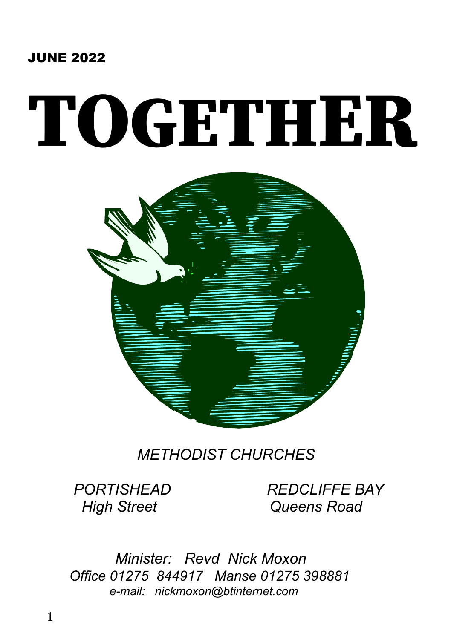## JUNE 2022

# TOGETHER



 *METHODIST CHURCHES*

 *PORTISHEAD REDCLIFFE BAY High Street Queens Road*

 *Minister: Revd Nick Moxon Office 01275 844917 Manse 01275 398881 e-mail: nickmoxon@btinternet.com*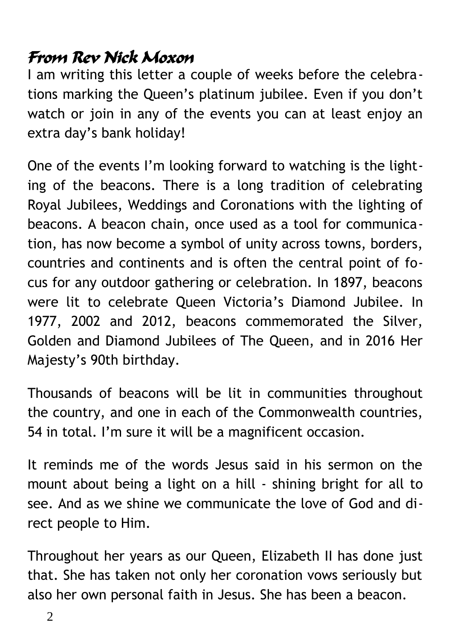# From Rev Nick Moxon

I am writing this letter a couple of weeks before the celebrations marking the Queen's platinum jubilee. Even if you don't watch or join in any of the events you can at least enjoy an extra day's bank holiday!

One of the events I'm looking forward to watching is the lighting of the beacons. There is a long tradition of celebrating Royal Jubilees, Weddings and Coronations with the lighting of beacons. A beacon chain, once used as a tool for communication, has now become a symbol of unity across towns, borders, countries and continents and is often the central point of focus for any outdoor gathering or celebration. In 1897, beacons were lit to celebrate Queen Victoria's Diamond Jubilee. In 1977, 2002 and 2012, beacons commemorated the Silver, Golden and Diamond Jubilees of The Queen, and in 2016 Her Majesty's 90th birthday.

Thousands of beacons will be lit in communities throughout the country, and one in each of the Commonwealth countries, 54 in total. I'm sure it will be a magnificent occasion.

It reminds me of the words Jesus said in his sermon on the mount about being a light on a hill - shining bright for all to see. And as we shine we communicate the love of God and direct people to Him.

Throughout her years as our Queen, Elizabeth II has done just that. She has taken not only her coronation vows seriously but also her own personal faith in Jesus. She has been a beacon.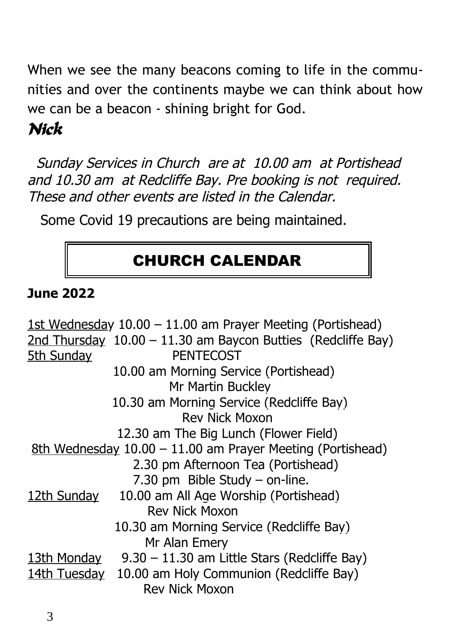When we see the many beacons coming to life in the communities and over the continents maybe we can think about how we can be a beacon - shining bright for God.

# Nick

 Sunday Services in Church are at 10.00 am at Portishead and 10.30 am at Redcliffe Bay. Pre booking is not required. These and other events are listed in the Calendar.

Some Covid 19 precautions are being maintained.

# CHURCH CALENDAR

# **June 2022**

 1st Wednesday 10.00 – 11.00 am Prayer Meeting (Portishead) 2nd Thursday 10.00 – 11.30 am Baycon Butties (Redcliffe Bay) 5th Sunday PENTECOST 10.00 am Morning Service (Portishead) Mr Martin Buckley 10.30 am Morning Service (Redcliffe Bay) Rev Nick Moxon 12.30 am The Big Lunch (Flower Field) 8th Wednesday 10.00 – 11.00 am Prayer Meeting (Portishead) 2.30 pm Afternoon Tea (Portishead) 7.30 pm Bible Study – on-line. 12th Sunday 10.00 am All Age Worship (Portishead) Rev Nick Moxon 10.30 am Morning Service (Redcliffe Bay) Mr Alan Emery 13th Monday 9.30 – 11.30 am Little Stars (Redcliffe Bay) 14th Tuesday 10.00 am Holy Communion (Redcliffe Bay) Rev Nick Moxon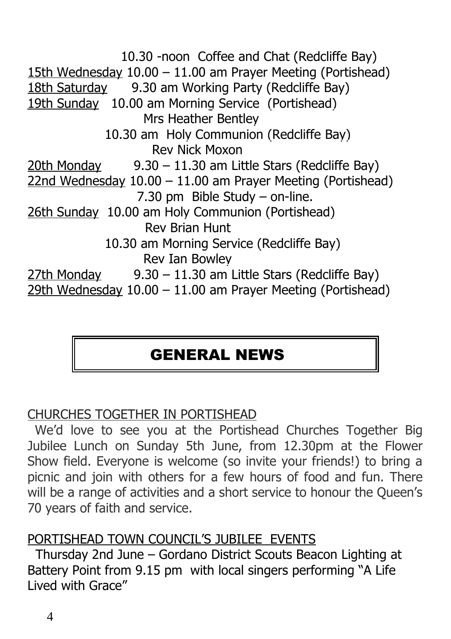10.30 -noon Coffee and Chat (Redcliffe Bay) 15th Wednesday 10.00 – 11.00 am Prayer Meeting (Portishead) 18th Saturday 9.30 am Working Party (Redcliffe Bay) 19th Sunday 10.00 am Morning Service (Portishead) Mrs Heather Bentley 10.30 am Holy Communion (Redcliffe Bay) Rev Nick Moxon 20th Monday 9.30 – 11.30 am Little Stars (Redcliffe Bay) 22nd Wednesday 10.00 – 11.00 am Prayer Meeting (Portishead) 7.30 pm Bible Study – on-line. 26th Sunday 10.00 am Holy Communion (Portishead) Rev Brian Hunt 10.30 am Morning Service (Redcliffe Bay) Rev Ian Bowley 27th Monday 9.30 – 11.30 am Little Stars (Redcliffe Bay) 29th Wednesday 10.00 – 11.00 am Prayer Meeting (Portishead)

# GENERAL NEWS

# CHURCHES TOGETHER IN PORTISHEAD

 We'd love to see you at the Portishead Churches Together Big Jubilee Lunch on Sunday 5th June, from 12.30pm at the Flower Show field. Everyone is welcome (so invite your friends!) to bring a picnic and join with others for a few hours of food and fun. There will be a range of activities and a short service to honour the Queen's 70 years of faith and service.

#### PORTISHEAD TOWN COUNCIL'S JUBILEE EVENTS

 Thursday 2nd June – Gordano District Scouts Beacon Lighting at Battery Point from 9.15 pm with local singers performing "A Life Lived with Grace"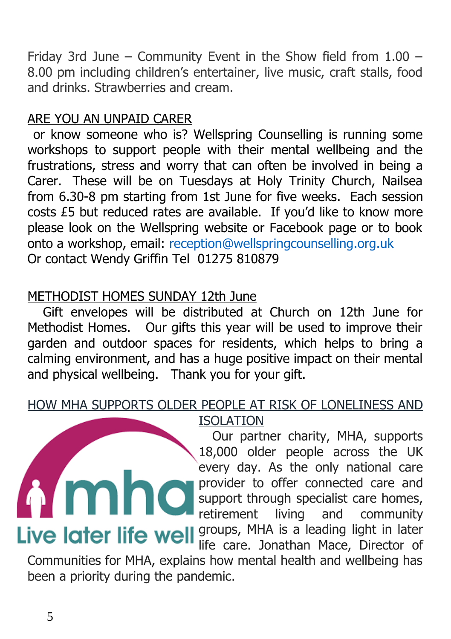Friday 3rd June – Community Event in the Show field from 1.00 – 8.00 pm including children's entertainer, live music, craft stalls, food and drinks. Strawberries and cream.

# ARE YOU AN UNPAID CARER

 or know someone who is? Wellspring Counselling is running some workshops to support people with their mental wellbeing and the frustrations, stress and worry that can often be involved in being a Carer. These will be on Tuesdays at Holy Trinity Church, Nailsea from 6.30-8 pm starting from 1st June for five weeks. Each session costs £5 but reduced rates are available. If you'd like to know more please look on the Wellspring website or Facebook page or to book onto a workshop, email: [reception@wellspringcounselling.org.uk](mailto:reception@wellspringcounselling.org.uk) Or contact Wendy Griffin Tel 01275 810879

## METHODIST HOMES SUNDAY 12th June

 Gift envelopes will be distributed at Church on 12th June for Methodist Homes. Our gifts this year will be used to improve their garden and outdoor spaces for residents, which helps to bring a calming environment, and has a huge positive impact on their mental and physical wellbeing. Thank you for your gift.

#### HOW MHA SUPPORTS OLDER PEOPLE AT RISK OF LONELINESS AND ISOLATION

 Our partner charity, MHA, supports 18,000 older people across the UK every day. As the only national care provider to offer connected care and support through specialist care homes, retirement living and community Live later life well groups, MHA is a leading light in later life care. Jonathan Mace, Director of

Communities for MHA, explains how mental health and wellbeing has been a priority during the pandemic.

m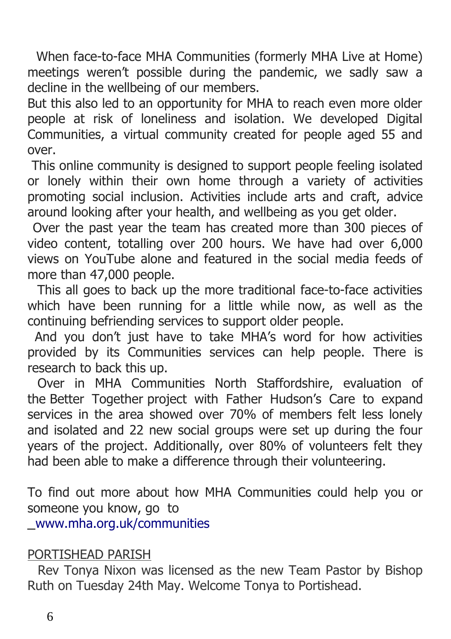When face-to-face MHA Communities (formerly MHA Live at Home) meetings weren't possible during the pandemic, we sadly saw a decline in the wellbeing of our members.

But this also led to an opportunity for MHA to reach even more older people at risk of loneliness and isolation. We developed Digital Communities, a virtual community created for people aged 55 and over.

 This online community is designed to support people feeling isolated or lonely within their own home through a variety of activities promoting social inclusion. Activities include arts and craft, advice around looking after your health, and wellbeing as you get older.

 Over the past year the team has created more than 300 pieces of video content, totalling over 200 hours. We have had over 6,000 views on YouTube alone and featured in the social media feeds of more than 47,000 people.

 This all goes to back up the more traditional face-to-face activities which have been running for a little while now, as well as the continuing befriending services to support older people.

 And you don't just have to take MHA's word for how activities provided by its Communities services can help people. There is research to back this up.

 Over in MHA Communities North Staffordshire, evaluation of the Better Together project with Father Hudson's Care to expand services in the area showed over 70% of members felt less lonely and isolated and 22 new social groups were set up during the four years of the project. Additionally, over 80% of volunteers felt they had been able to make a difference through their volunteering.

To find out more about how MHA Communities could help you or someone you know, go to

[www.mha.org.uk/communities](http://www.mha.org.uk/communities)

#### PORTISHEAD PARISH

 Rev Tonya Nixon was licensed as the new Team Pastor by Bishop Ruth on Tuesday 24th May. Welcome Tonya to Portishead.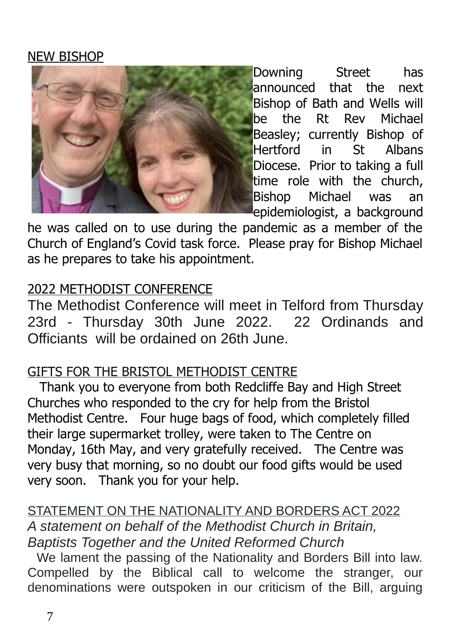#### NEW BISHOP



Downing Street has announced that the next Bishop of Bath and Wells will be the Rt Rev Michael Beasley; currently Bishop of Hertford in St Albans Diocese. Prior to taking a full time role with the church, Bishop Michael was an epidemiologist, a background

he was called on to use during the pandemic as a member of the Church of England's Covid task force. Please pray for Bishop Michael as he prepares to take his appointment.

## 2022 METHODIST CONFERENCE

The Methodist Conference will meet in Telford from Thursday 23rd - Thursday 30th June 2022. 22 Ordinands and Officiants will be ordained on 26th June.

# GIFTS FOR THE BRISTOL METHODIST CENTRE

 Thank you to everyone from both Redcliffe Bay and High Street Churches who responded to the cry for help from the Bristol Methodist Centre. Four huge bags of food, which completely filled their large supermarket trolley, were taken to The Centre on Monday, 16th May, and very gratefully received. The Centre was very busy that morning, so no doubt our food gifts would be used very soon. Thank you for your help.

## STATEMENT ON THE NATIONALITY AND BORDERS ACT 2022 *A statement on behalf of the Methodist Church in Britain, Baptists Together and the United Reformed Church*

 We lament the passing of the Nationality and Borders Bill into law. Compelled by the Biblical call to welcome the stranger, our denominations were outspoken in our criticism of the Bill, arguing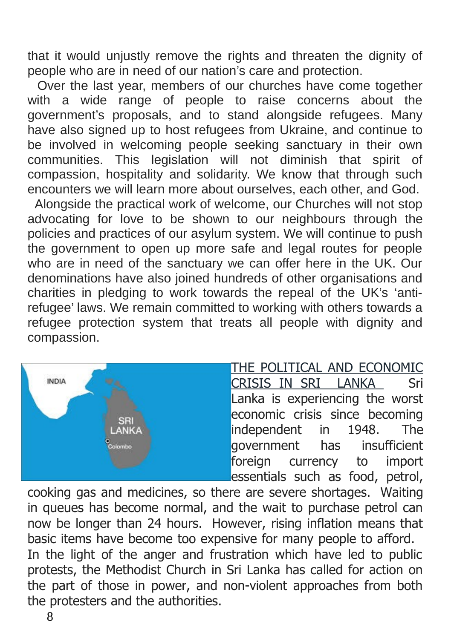that it would unjustly remove the rights and threaten the dignity of people who are in need of our nation's care and protection.

 Over the last year, members of our churches have come together with a wide range of people to raise concerns about the government's proposals, and to stand alongside refugees. Many have also signed up to host refugees from Ukraine, and continue to be involved in welcoming people seeking sanctuary in their own communities. This legislation will not diminish that spirit of compassion, hospitality and solidarity. We know that through such encounters we will learn more about ourselves, each other, and God.

 Alongside the practical work of welcome, our Churches will not stop advocating for love to be shown to our neighbours through the policies and practices of our asylum system. We will continue to push the government to open up more safe and legal routes for people who are in need of the sanctuary we can offer here in the UK. Our denominations have also joined hundreds of other organisations and charities in pledging to work towards the repeal of the UK's 'antirefugee' laws. We remain committed to working with others towards a refugee protection system that treats all people with dignity and compassion.



THE POLITICAL AND ECONOMIC CRISIS IN SRI LANKA Sri Lanka is experiencing the worst economic crisis since becoming independent in 1948. The government has insufficient foreign currency to import essentials such as food, petrol,

cooking gas and medicines, so there are severe shortages. Waiting in queues has become normal, and the wait to purchase petrol can now be longer than 24 hours. However, rising inflation means that basic items have become too expensive for many people to afford. In the light of the anger and frustration which have led to public protests, the Methodist Church in Sri Lanka has called for action on the part of those in power, and non-violent approaches from both the protesters and the authorities.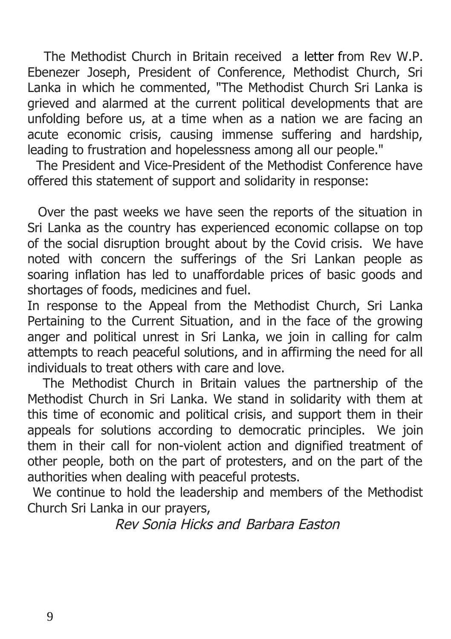The Methodist Church in Britain received a letter from Rev W.P. Ebenezer Joseph, President of Conference, Methodist Church, Sri Lanka in which he commented, "The Methodist Church Sri Lanka is grieved and alarmed at the current political developments that are unfolding before us, at a time when as a nation we are facing an acute economic crisis, causing immense suffering and hardship, leading to frustration and hopelessness among all our people."

 The President and Vice-President of the Methodist Conference have offered this statement of support and solidarity in response:

 Over the past weeks we have seen the reports of the situation in Sri Lanka as the country has experienced economic collapse on top of the social disruption brought about by the Covid crisis. We have noted with concern the sufferings of the Sri Lankan people as soaring inflation has led to unaffordable prices of basic goods and shortages of foods, medicines and fuel.

In response to the Appeal from the Methodist Church, Sri Lanka Pertaining to the Current Situation, and in the face of the growing anger and political unrest in Sri Lanka, we join in calling for calm attempts to reach peaceful solutions, and in affirming the need for all individuals to treat others with care and love.

 The Methodist Church in Britain values the partnership of the Methodist Church in Sri Lanka. We stand in solidarity with them at this time of economic and political crisis, and support them in their appeals for solutions according to democratic principles. We join them in their call for non-violent action and dignified treatment of other people, both on the part of protesters, and on the part of the authorities when dealing with peaceful protests.

 We continue to hold the leadership and members of the Methodist Church Sri Lanka in our prayers,

Rev Sonia Hicks and Barbara Easton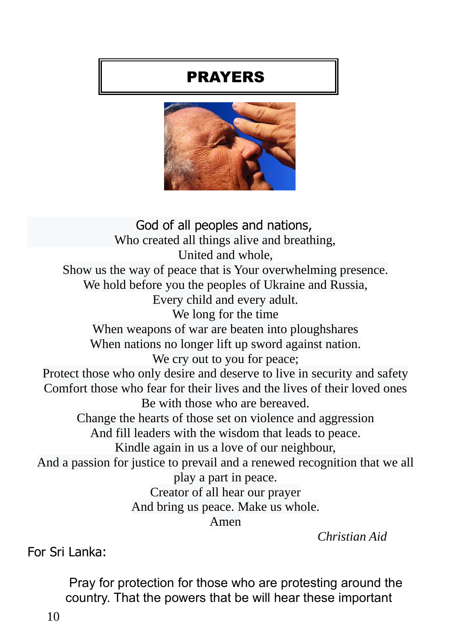# PRAYERS



 God of all peoples and nations, Who created all things alive and breathing, United and whole, Show us the way of peace that is Your overwhelming presence. We hold before you the peoples of Ukraine and Russia, Every child and every adult. We long for the time When weapons of war are beaten into ploughshares When nations no longer lift up sword against nation. We cry out to you for peace; Protect those who only desire and deserve to live in security and safety Comfort those who fear for their lives and the lives of their loved ones Be with those who are bereaved. Change the hearts of those set on violence and aggression And fill leaders with the wisdom that leads to peace. Kindle again in us a love of our neighbour, And a passion for justice to prevail and a renewed recognition that we all play a part in peace. Creator of all hear our prayer And bring us peace. Make us whole. Amen

 *Christian Aid*

For Sri Lanka:

 Pray for protection for those who are protesting around the country. That the powers that be will hear these important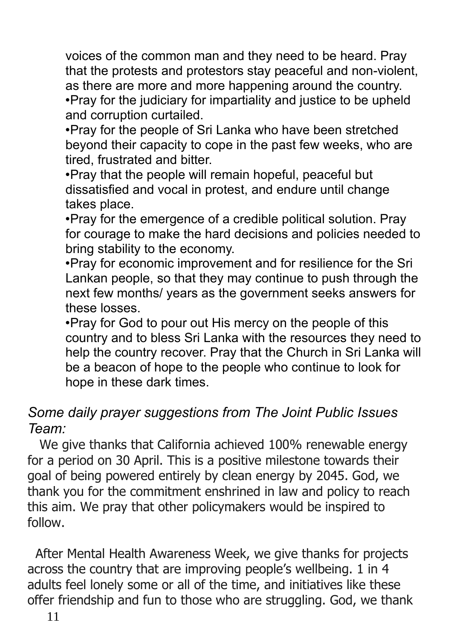voices of the common man and they need to be heard. Pray that the protests and protestors stay peaceful and non-violent, as there are more and more happening around the country. •Pray for the judiciary for impartiality and justice to be upheld and corruption curtailed.

•Pray for the people of Sri Lanka who have been stretched beyond their capacity to cope in the past few weeks, who are tired, frustrated and bitter.

•Pray that the people will remain hopeful, peaceful but dissatisfied and vocal in protest, and endure until change takes place.

•Pray for the emergence of a credible political solution. Pray for courage to make the hard decisions and policies needed to bring stability to the economy.

•Pray for economic improvement and for resilience for the Sri Lankan people, so that they may continue to push through the next few months/ years as the government seeks answers for these losses.

•Pray for God to pour out His mercy on the people of this country and to bless Sri Lanka with the resources they need to help the country recover. Pray that the Church in Sri Lanka will be a beacon of hope to the people who continue to look for hope in these dark times.

#### *Some daily prayer suggestions from The Joint Public Issues Team:*

 We give thanks that California achieved 100% renewable energy for a period on 30 April. This is a positive milestone towards their goal of being powered entirely by clean energy by 2045. God, we thank you for the commitment enshrined in law and policy to reach this aim. We pray that other policymakers would be inspired to follow.

 After Mental Health Awareness Week, we give thanks for projects across the country that are improving people's wellbeing. 1 in 4 adults feel lonely some or all of the time, and initiatives like these offer friendship and fun to those who are struggling. God, we thank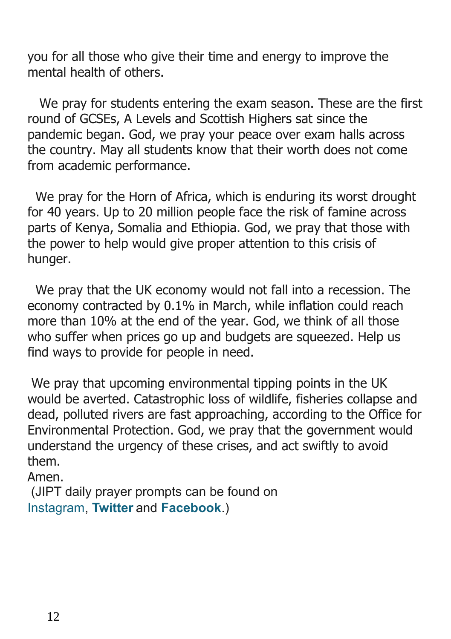you for all those who give their time and energy to improve the mental health of others.

 We pray for students entering the exam season. These are the first round of GCSEs, A Levels and Scottish Highers sat since the pandemic began. God, we pray your peace over exam halls across the country. May all students know that their worth does not come from academic performance.

 We pray for the Horn of Africa, which is enduring its worst drought for 40 years. Up to 20 million people face the risk of famine across parts of Kenya, Somalia and Ethiopia. God, we pray that those with the power to help would give proper attention to this crisis of hunger.

 We pray that the UK economy would not fall into a recession. The economy contracted by 0.1% in March, while inflation could reach more than 10% at the end of the year. God, we think of all those who suffer when prices go up and budgets are squeezed. Help us find ways to provide for people in need.

We pray that upcoming environmental tipping points in the UK would be averted. Catastrophic loss of wildlife, fisheries collapse and dead, polluted rivers are fast approaching, according to the Office for Environmental Protection. God, we pray that the government would understand the urgency of these crises, and act swiftly to avoid them.

Amen.

 (JIPT daily prayer prompts can be found on [Instagram](https://www.instagram.com/public.issues/?hl=en), **[Twitter](https://twitter.com/PublicIssues)** and **[Facebook](https://www.facebook.com/jointpublicissues)**.)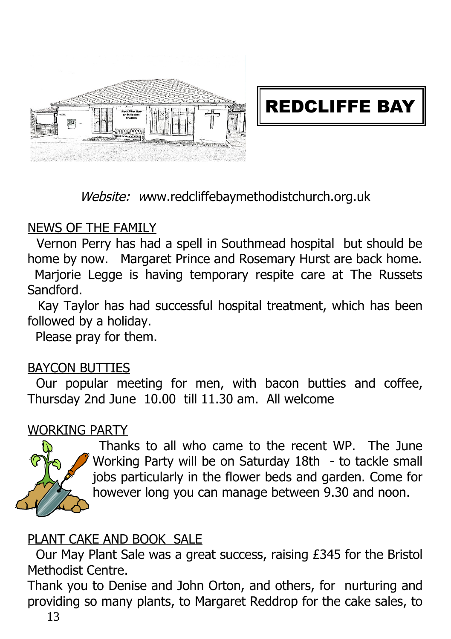

REDCLIFFE BAY

Website: [w](http://www.redcliffebaymethodistchurch.org.uk/)[ww.redcliffebaymethodistchurch.org.uk](http://www.redcliffebaymethodistchurch.org.uk/)

#### NEWS OF THE FAMILY

 Vernon Perry has had a spell in Southmead hospital but should be home by now. Margaret Prince and Rosemary Hurst are back home.

 Marjorie Legge is having temporary respite care at The Russets Sandford.

 Kay Taylor has had successful hospital treatment, which has been followed by a holiday.

Please pray for them.

#### BAYCON BUTTIES

 Our popular meeting for men, with bacon butties and coffee, Thursday 2nd June 10.00 till 11.30 am. All welcome

#### WORKING PARTY



 Thanks to all who came to the recent WP. The June Working Party will be on Saturday 18th - to tackle small jobs particularly in the flower beds and garden. Come for however long you can manage between 9.30 and noon.

#### PLANT CAKE AND BOOK SALE

 Our May Plant Sale was a great success, raising £345 for the Bristol Methodist Centre.

Thank you to Denise and John Orton, and others, for nurturing and providing so many plants, to Margaret Reddrop for the cake sales, to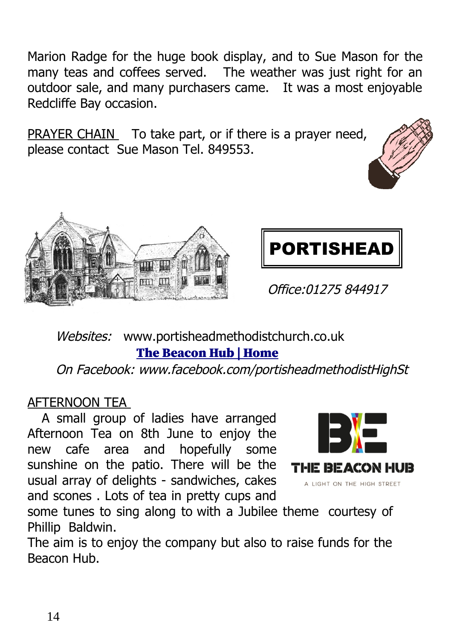Marion Radge for the huge book display, and to Sue Mason for the many teas and coffees served. The weather was just right for an outdoor sale, and many purchasers came. It was a most enjoyable Redcliffe Bay occasion.

PRAYER CHAIN To take part, or if there is a prayer need, please contact Sue Mason Tel. 849553.





```
 Office:01275 844917
```
#### Websites: www.portisheadmethodistchurch.co.uk The [Beacon](https://www.thebeaconhub.co.uk/) Hub | Home

On Facebook: www.facebook.com/portisheadmethodistHighSt

#### AFTERNOON TEA

 A small group of ladies have arranged Afternoon Tea on 8th June to enjoy the new cafe area and hopefully some sunshine on the patio. There will be the usual array of delights - sandwiches, cakes and scones . Lots of tea in pretty cups and



some tunes to sing along to with a Jubilee theme courtesy of Phillip Baldwin.

The aim is to enjoy the company but also to raise funds for the Beacon Hub.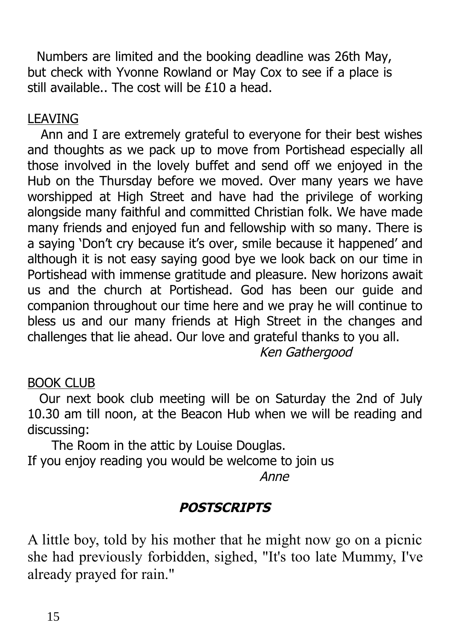Numbers are limited and the booking deadline was 26th May, but check with Yvonne Rowland or May Cox to see if a place is still available.. The cost will be £10 a head.

#### LEAVING

 Ann and I are extremely grateful to everyone for their best wishes and thoughts as we pack up to move from Portishead especially all those involved in the lovely buffet and send off we enjoyed in the Hub on the Thursday before we moved. Over many years we have worshipped at High Street and have had the privilege of working alongside many faithful and committed Christian folk. We have made many friends and enjoyed fun and fellowship with so many. There is a saying 'Don't cry because it's over, smile because it happened' and although it is not easy saying good bye we look back on our time in Portishead with immense gratitude and pleasure. New horizons await us and the church at Portishead. God has been our guide and companion throughout our time here and we pray he will continue to bless us and our many friends at High Street in the changes and challenges that lie ahead. Our love and grateful thanks to you all.

#### Ken Gathergood

#### BOOK CLUB

 Our next book club meeting will be on Saturday the 2nd of July 10.30 am till noon, at the Beacon Hub when we will be reading and discussing:

 The Room in the attic by Louise Douglas. If you enjoy reading you would be welcome to join us

Anne

#### **POSTSCRIPTS**

A little boy, told by his mother that he might now go on a picnic she had previously forbidden, sighed, "It's too late Mummy, I've already prayed for rain."